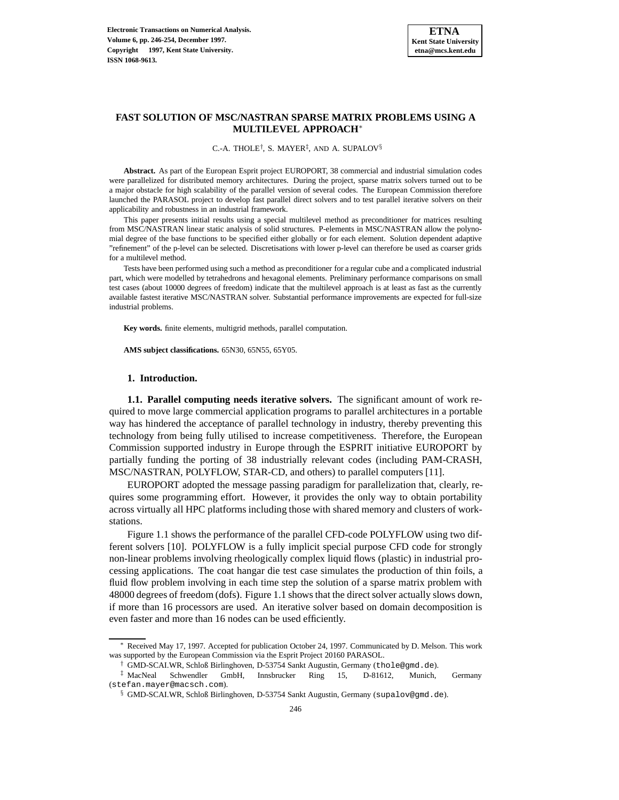## **FAST SOLUTION OF MSC/NASTRAN SPARSE MATRIX PROBLEMS USING A MULTILEVEL APPROACH**<sup>∗</sup>

C.-A. THOLE†, S. MAYER‡, AND A. SUPALOV§

**Abstract.** As part of the European Esprit project EUROPORT, 38 commercial and industrial simulation codes were parallelized for distributed memory architectures. During the project, sparse matrix solvers turned out to be a major obstacle for high scalability of the parallel version of several codes. The European Commission therefore launched the PARASOL project to develop fast parallel direct solvers and to test parallel iterative solvers on their applicability and robustness in an industrial framework.

This paper presents initial results using a special multilevel method as preconditioner for matrices resulting from MSC/NASTRAN linear static analysis of solid structures. P-elements in MSC/NASTRAN allow the polynomial degree of the base functions to be specified either globally or for each element. Solution dependent adaptive "refinement" of the p-level can be selected. Discretisations with lower p-level can therefore be used as coarser grids for a multilevel method.

Tests have been performed using such a method as preconditioner for a regular cube and a complicated industrial part, which were modelled by tetrahedrons and hexagonal elements. Preliminary performance comparisons on small test cases (about 10000 degrees of freedom) indicate that the multilevel approach is at least as fast as the currently available fastest iterative MSC/NASTRAN solver. Substantial performance improvements are expected for full-size industrial problems.

**Key words.** finite elements, multigrid methods, parallel computation.

**AMS subject classifications.** 65N30, 65N55, 65Y05.

#### **1. Introduction.**

**1.1. Parallel computing needs iterative solvers.** The significant amount of work required to move large commercial application programs to parallel architectures in a portable way has hindered the acceptance of parallel technology in industry, thereby preventing this technology from being fully utilised to increase competitiveness. Therefore, the European Commission supported industry in Europe through the ESPRIT initiative EUROPORT by partially funding the porting of 38 industrially relevant codes (including PAM-CRASH, MSC/NASTRAN, POLYFLOW, STAR-CD, and others) to parallel computers [11].

EUROPORT adopted the message passing paradigm for parallelization that, clearly, requires some programming effort. However, it provides the only way to obtain portability across virtually all HPC platforms including those with shared memory and clusters of workstations.

Figure 1.1 shows the performance of the parallel CFD-code POLYFLOW using two different solvers [10]. POLYFLOW is a fully implicit special purpose CFD code for strongly non-linear problems involving rheologically complex liquid flows (plastic) in industrial processing applications. The coat hangar die test case simulates the production of thin foils, a fluid flow problem involving in each time step the solution of a sparse matrix problem with 48000 degrees of freedom (dofs). Figure 1.1 shows that the direct solver actually slows down, if more than 16 processors are used. An iterative solver based on domain decomposition is even faster and more than 16 nodes can be used efficiently.

Received May 17, 1997. Accepted for publication October 24, 1997. Communicated by D. Melson. This work was supported by the European Commission via the Esprit Project 20160 PARASOL.

<sup>†</sup> GMD-SCAI.WR, Schloß Birlinghoven, D-53754 Sankt Augustin, Germany (thole@gmd.de).

<sup>‡</sup> MacNeal Schwendler GmbH, Innsbrucker Ring 15, D-81612, Munich, Germany (stefan.mayer@macsch.com).

<sup>§</sup> GMD-SCAI.WR, Schloß Birlinghoven, D-53754 Sankt Augustin, Germany (supalov@gmd.de).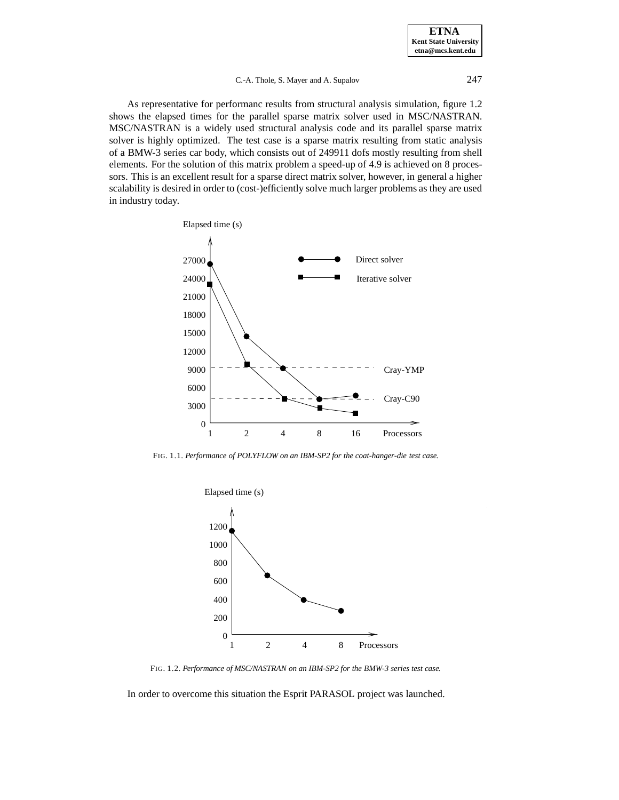## C.-A. Thole, S. Mayer and A. Supalov 247

As representative for performanc results from structural analysis simulation, figure 1.2 shows the elapsed times for the parallel sparse matrix solver used in MSC/NASTRAN. MSC/NASTRAN is a widely used structural analysis code and its parallel sparse matrix solver is highly optimized. The test case is a sparse matrix resulting from static analysis of a BMW-3 series car body, which consists out of 249911 dofs mostly resulting from shell elements. For the solution of this matrix problem a speed-up of 4.9 is achieved on 8 processors. This is an excellent result for a sparse direct matrix solver, however, in general a higher scalability is desired in order to (cost-)efficiently solve much larger problems as they are used in industry today.



FIG. 1.1. *Performance of POLYFLOW on an IBM-SP2 for the coat-hanger-die test case.*



FIG. 1.2. *Performance of MSC/NASTRAN on an IBM-SP2 for the BMW-3 series test case.*

In order to overcome this situation the Esprit PARASOL project was launched.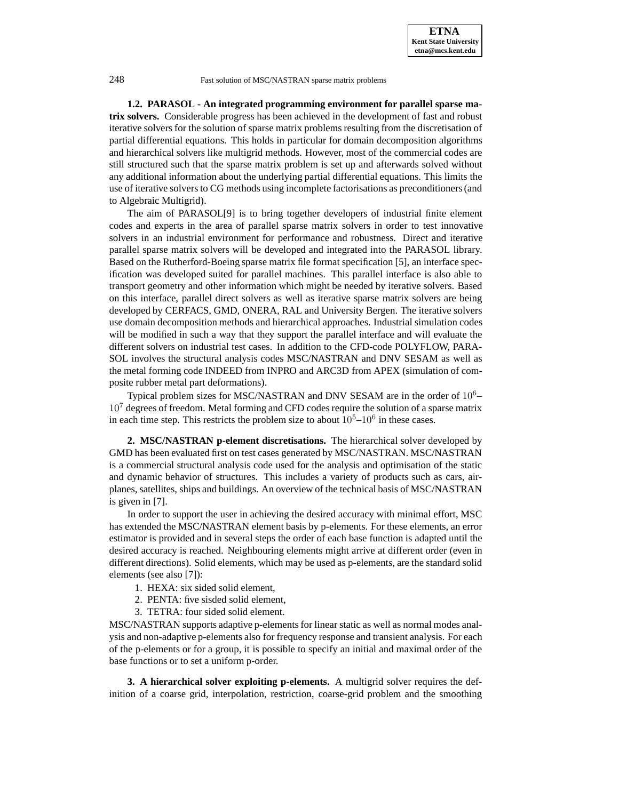

**1.2. PARASOL - An integrated programming environment for parallel sparse matrix solvers.** Considerable progress has been achieved in the development of fast and robust iterative solvers for the solution of sparse matrix problems resulting from the discretisation of partial differential equations. This holds in particular for domain decomposition algorithms and hierarchical solvers like multigrid methods. However, most of the commercial codes are still structured such that the sparse matrix problem is set up and afterwards solved without any additional information about the underlying partial differential equations. This limits the use of iterative solvers to CG methods using incomplete factorisations as preconditioners (and to Algebraic Multigrid).

The aim of PARASOL[9] is to bring together developers of industrial finite element codes and experts in the area of parallel sparse matrix solvers in order to test innovative solvers in an industrial environment for performance and robustness. Direct and iterative parallel sparse matrix solvers will be developed and integrated into the PARASOL library. Based on the Rutherford-Boeing sparse matrix file format specification [5], an interface specification was developed suited for parallel machines. This parallel interface is also able to transport geometry and other information which might be needed by iterative solvers. Based on this interface, parallel direct solvers as well as iterative sparse matrix solvers are being developed by CERFACS, GMD, ONERA, RAL and University Bergen. The iterative solvers use domain decomposition methods and hierarchical approaches. Industrial simulation codes will be modified in such a way that they support the parallel interface and will evaluate the different solvers on industrial test cases. In addition to the CFD-code POLYFLOW, PARA-SOL involves the structural analysis codes MSC/NASTRAN and DNV SESAM as well as the metal forming code INDEED from INPRO and ARC3D from APEX (simulation of composite rubber metal part deformations).

Typical problem sizes for MSC/NASTRAN and DNV SESAM are in the order of  $10<sup>6</sup>$  $10<sup>7</sup>$  degrees of freedom. Metal forming and CFD codes require the solution of a sparse matrix in each time step. This restricts the problem size to about  $10^5-10^6$  in these cases.

**2. MSC/NASTRAN p-element discretisations.** The hierarchical solver developed by GMD has been evaluated first on test cases generated by MSC/NASTRAN. MSC/NASTRAN is a commercial structural analysis code used for the analysis and optimisation of the static and dynamic behavior of structures. This includes a variety of products such as cars, airplanes, satellites, ships and buildings. An overview of the technical basis of MSC/NASTRAN is given in [7].

In order to support the user in achieving the desired accuracy with minimal effort, MSC has extended the MSC/NASTRAN element basis by p-elements. For these elements, an error estimator is provided and in several steps the order of each base function is adapted until the desired accuracy is reached. Neighbouring elements might arrive at different order (even in different directions). Solid elements, which may be used as p-elements, are the standard solid elements (see also [7]):

- 1. HEXA: six sided solid element,
- 2. PENTA: five sisded solid element,
- 3. TETRA: four sided solid element.

MSC/NASTRAN supports adaptive p-elements for linear static as well as normal modes analysis and non-adaptive p-elements also for frequency response and transient analysis. For each of the p-elements or for a group, it is possible to specify an initial and maximal order of the base functions or to set a uniform p-order.

**3. A hierarchical solver exploiting p-elements.** A multigrid solver requires the definition of a coarse grid, interpolation, restriction, coarse-grid problem and the smoothing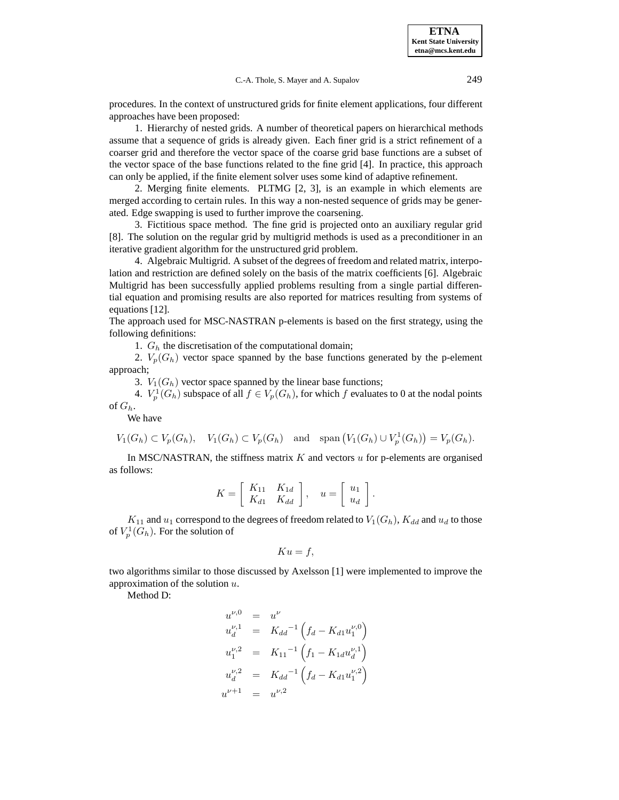procedures. In the context of unstructured grids for finite element applications, four different approaches have been proposed:

1. Hierarchy of nested grids. A number of theoretical papers on hierarchical methods assume that a sequence of grids is already given. Each finer grid is a strict refinement of a coarser grid and therefore the vector space of the coarse grid base functions are a subset of the vector space of the base functions related to the fine grid [4]. In practice, this approach can only be applied, if the finite element solver uses some kind of adaptive refinement.

2. Merging finite elements. PLTMG [2, 3], is an example in which elements are merged according to certain rules. In this way a non-nested sequence of grids may be generated. Edge swapping is used to further improve the coarsening.

3. Fictitious space method. The fine grid is projected onto an auxiliary regular grid [8]. The solution on the regular grid by multigrid methods is used as a preconditioner in an iterative gradient algorithm for the unstructured grid problem.

4. Algebraic Multigrid. A subset of the degrees of freedom and related matrix, interpolation and restriction are defined solely on the basis of the matrix coefficients [6]. Algebraic Multigrid has been successfully applied problems resulting from a single partial differential equation and promising results are also reported for matrices resulting from systems of equations [12].

The approach used for MSC-NASTRAN p-elements is based on the first strategy, using the following definitions:

1.  $G_h$  the discretisation of the computational domain;

2.  $V_p(G_h)$  vector space spanned by the base functions generated by the p-element approach;

3.  $V_1(G_h)$  vector space spanned by the linear base functions;

4.  $V_p^1(G_h)$  subspace of all  $f \in V_p(G_h)$ , for which f evaluates to 0 at the nodal points of  $G_h$ .

We have

 $V_1(G_h) \subset V_p(G_h)$ ,  $V_1(G_h) \subset V_p(G_h)$  and span  $(V_1(G_h) \cup V_p^1(G_h)) = V_p(G_h)$ .

In MSC/NASTRAN, the stiffness matrix  $K$  and vectors  $u$  for p-elements are organised as follows:

$$
K = \left[ \begin{array}{cc} K_{11} & K_{1d} \\ K_{d1} & K_{dd} \end{array} \right], \quad u = \left[ \begin{array}{c} u_1 \\ u_d \end{array} \right].
$$

 $K_{11}$  and  $u_1$  correspond to the degrees of freedom related to  $V_1(G_h)$ ,  $K_{dd}$  and  $u_d$  to those of  $V_p^1(G_h)$ . For the solution of

$$
Ku = f,
$$

two algorithms similar to those discussed by Axelsson [1] were implemented to improve the approximation of the solution  $u$ .

Method D:

$$
u^{\nu,0} = u^{\nu}
$$
  
\n
$$
u_d^{\nu,1} = K_{dd}^{-1} \left( f_d - K_{d1} u_1^{\nu,0} \right)
$$
  
\n
$$
u_1^{\nu,2} = K_{11}^{-1} \left( f_1 - K_{1d} u_d^{\nu,1} \right)
$$
  
\n
$$
u_d^{\nu,2} = K_{dd}^{-1} \left( f_d - K_{d1} u_1^{\nu,2} \right)
$$
  
\n
$$
u^{\nu+1} = u^{\nu,2}
$$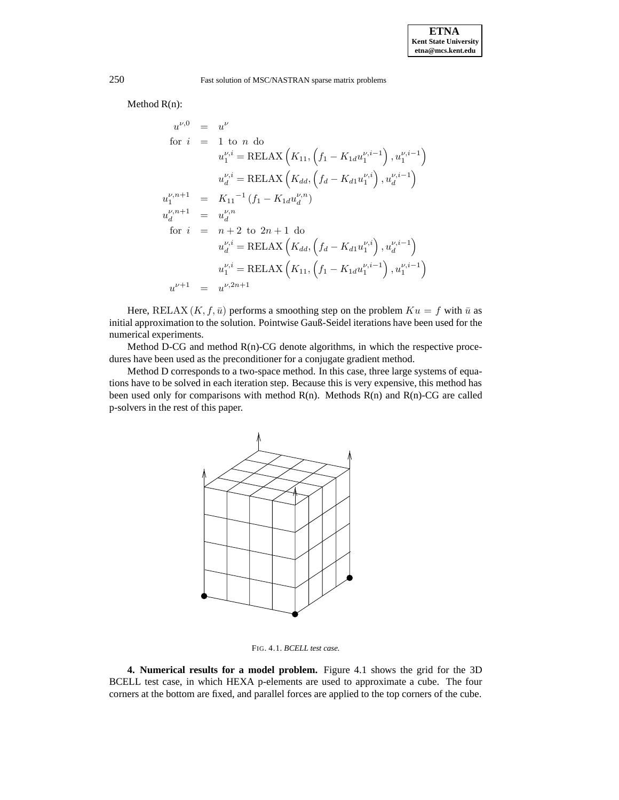Method R(n):

$$
u^{\nu,0} = u^{\nu}
$$
  
\nfor  $i = 1$  to n do  
\n
$$
u_1^{\nu,i} = \text{RELAX}\left(K_{11}, \left(f_1 - K_{1d}u_1^{\nu,i-1}\right), u_1^{\nu,i-1}\right)
$$
\n
$$
u_d^{\nu,i} = \text{RELAX}\left(K_{dd}, \left(f_d - K_{d1}u_1^{\nu,i}\right), u_d^{\nu,i-1}\right)
$$
\n
$$
u_1^{\nu,n+1} = K_{11}^{-1} \left(f_1 - K_{1d}u_d^{\nu,n}\right)
$$
\n
$$
u_d^{\nu,n+1} = u_d^{\nu,n}
$$
\nfor  $i = n+2$  to  $2n+1$  do  
\n
$$
u_d^{\nu,i} = \text{RELAX}\left(K_{dd}, \left(f_d - K_{d1}u_1^{\nu,i}\right), u_d^{\nu,i-1}\right)
$$
\n
$$
u_1^{\nu,i} = \text{RELAX}\left(K_{11}, \left(f_1 - K_{1d}u_1^{\nu,i-1}\right), u_1^{\nu,i-1}\right)
$$
\n
$$
u^{\nu+1} = u^{\nu, 2n+1}
$$

Here, RELAX  $(K, f, \bar{u})$  performs a smoothing step on the problem  $Ku = f$  with  $\bar{u}$  as initial approximation to the solution. Pointwise Gauß-Seidel iterations have been used for the numerical experiments.

Method D-CG and method  $R(n)$ -CG denote algorithms, in which the respective procedures have been used as the preconditioner for a conjugate gradient method.

Method D corresponds to a two-space method. In this case, three large systems of equations have to be solved in each iteration step. Because this is very expensive, this method has been used only for comparisons with method  $R(n)$ . Methods  $R(n)$  and  $R(n)$ -CG are called p-solvers in the rest of this paper.



FIG. 4.1. *BCELL test case.*

**4. Numerical results for a model problem.** Figure 4.1 shows the grid for the 3D BCELL test case, in which HEXA p-elements are used to approximate a cube. The four corners at the bottom are fixed, and parallel forces are applied to the top corners of the cube.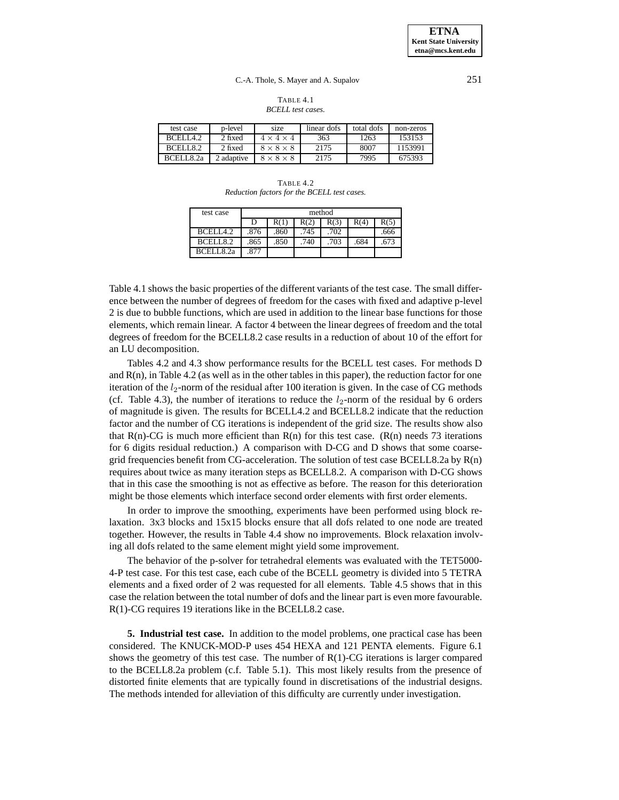### C.-A. Thole, S. Mayer and A. Supalov 251

#### TABLE 4.1 *BCELL test cases.*

| test case | p-level    | size                  | linear dofs | total dofs | non-zeros |
|-----------|------------|-----------------------|-------------|------------|-----------|
| BCELIA.2  | 2 fixed    | $4 \times 4 \times 4$ | 363         | 1263       | 153153    |
| BCELL8.2  | 2 fixed    | $8 \times 8 \times 8$ | 2175        | 8007       | 1153991   |
| RCFI182a  | 2 adaptive | $8 \times 8 \times 8$ | 2175        | 7995       | 675393    |

TABLE 4.2 *Reduction factors for the BCELL test cases.*

| test case            | method |                                      |      |      |      |      |  |  |
|----------------------|--------|--------------------------------------|------|------|------|------|--|--|
|                      | D      | R(3)<br>R(5)<br>R(4)<br>R(2)<br>R(1) |      |      |      |      |  |  |
| RCHI42               | .876   | .860                                 | .745 | .702 |      | .666 |  |  |
| BCELL8.2             | .865   | .850                                 | 740  | .703 | .684 | .673 |  |  |
| BCELLS <sub>2a</sub> | .877   |                                      |      |      |      |      |  |  |

Table 4.1 shows the basic properties of the different variants of the test case. The small difference between the number of degrees of freedom for the cases with fixed and adaptive p-level 2 is due to bubble functions, which are used in addition to the linear base functions for those elements, which remain linear. A factor 4 between the linear degrees of freedom and the total degrees of freedom for the BCELL8.2 case results in a reduction of about 10 of the effort for an LU decomposition.

Tables 4.2 and 4.3 show performance results for the BCELL test cases. For methods D and  $R(n)$ , in Table 4.2 (as well as in the other tables in this paper), the reduction factor for one iteration of the  $l_2$ -norm of the residual after 100 iteration is given. In the case of CG methods (cf. Table 4.3), the number of iterations to reduce the  $l_2$ -norm of the residual by 6 orders of magnitude is given. The results for BCELL4.2 and BCELL8.2 indicate that the reduction factor and the number of CG iterations is independent of the grid size. The results show also that  $R(n)$ -CG is much more efficient than  $R(n)$  for this test case.  $(R(n)$  needs 73 iterations for 6 digits residual reduction.) A comparison with D-CG and D shows that some coarsegrid frequencies benefit from CG-acceleration. The solution of test case BCELL8.2a by R(n) requires about twice as many iteration steps as BCELL8.2. A comparison with D-CG shows that in this case the smoothing is not as effective as before. The reason for this deterioration might be those elements which interface second order elements with first order elements.

In order to improve the smoothing, experiments have been performed using block relaxation. 3x3 blocks and 15x15 blocks ensure that all dofs related to one node are treated together. However, the results in Table 4.4 show no improvements. Block relaxation involving all dofs related to the same element might yield some improvement.

The behavior of the p-solver for tetrahedral elements was evaluated with the TET5000- 4-P test case. For this test case, each cube of the BCELL geometry is divided into 5 TETRA elements and a fixed order of 2 was requested for all elements. Table 4.5 shows that in this case the relation between the total number of dofs and the linear part is even more favourable. R(1)-CG requires 19 iterations like in the BCELL8.2 case.

**5. Industrial test case.** In addition to the model problems, one practical case has been considered. The KNUCK-MOD-P uses 454 HEXA and 121 PENTA elements. Figure 6.1 shows the geometry of this test case. The number of  $R(1)$ -CG iterations is larger compared to the BCELL8.2a problem (c.f. Table 5.1). This most likely results from the presence of distorted finite elements that are typically found in discretisations of the industrial designs. The methods intended for alleviation of this difficulty are currently under investigation.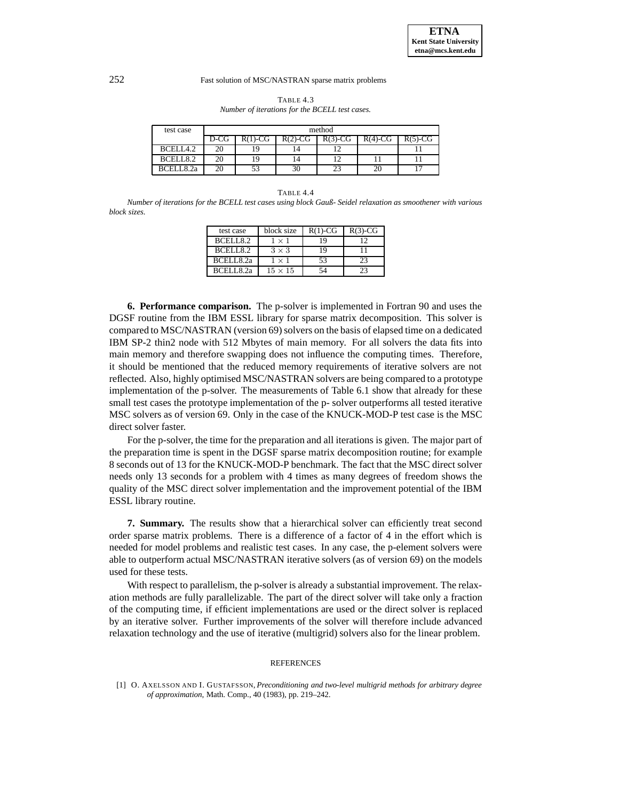| test case | method |           |           |           |           |           |
|-----------|--------|-----------|-----------|-----------|-----------|-----------|
|           | D-CG   | $R(1)-CG$ | $R(2)-CG$ | $R(3)-CG$ | $R(4)-CG$ | $R(5)-CG$ |
| BCELL4.2  | 20     | ٠Q        | l 4       |           |           |           |
| BCELL8.2  | 20     |           | ۱4        |           |           |           |
| RCELL82a  | 20     | 53        | 30        | 23        |           |           |

TABLE 4.3 *Number of iterations for the BCELL test cases.*

#### TABLE 4.4

*Number of iterations for the BCELL test cases using block Gauß- Seidel relaxation as smoothener with various block sizes.*

| test case  | block size     | $R(1)-CG$ | $R(3)-CG$ |
|------------|----------------|-----------|-----------|
| BCELL8.2   | 1 × 1          |           |           |
| BCELL8.2   | $3 \times 3$   | 19        |           |
| BCELL8.2a  | $1 \times 1$   | 53        | 23        |
| BCELL 8.2a | $15 \times 15$ |           |           |

**6. Performance comparison.** The p-solver is implemented in Fortran 90 and uses the DGSF routine from the IBM ESSL library for sparse matrix decomposition. This solver is compared to MSC/NASTRAN (version 69) solvers on the basis of elapsed time on a dedicated IBM SP-2 thin2 node with 512 Mbytes of main memory. For all solvers the data fits into main memory and therefore swapping does not influence the computing times. Therefore, it should be mentioned that the reduced memory requirements of iterative solvers are not reflected. Also, highly optimised MSC/NASTRAN solvers are being compared to a prototype implementation of the p-solver. The measurements of Table 6.1 show that already for these small test cases the prototype implementation of the p- solver outperforms all tested iterative MSC solvers as of version 69. Only in the case of the KNUCK-MOD-P test case is the MSC direct solver faster.

For the p-solver, the time for the preparation and all iterations is given. The major part of the preparation time is spent in the DGSF sparse matrix decomposition routine; for example 8 seconds out of 13 for the KNUCK-MOD-P benchmark. The fact that the MSC direct solver needs only 13 seconds for a problem with 4 times as many degrees of freedom shows the quality of the MSC direct solver implementation and the improvement potential of the IBM ESSL library routine.

**7. Summary.** The results show that a hierarchical solver can efficiently treat second order sparse matrix problems. There is a difference of a factor of 4 in the effort which is needed for model problems and realistic test cases. In any case, the p-element solvers were able to outperform actual MSC/NASTRAN iterative solvers (as of version 69) on the models used for these tests.

With respect to parallelism, the p-solver is already a substantial improvement. The relaxation methods are fully parallelizable. The part of the direct solver will take only a fraction of the computing time, if efficient implementations are used or the direct solver is replaced by an iterative solver. Further improvements of the solver will therefore include advanced relaxation technology and the use of iterative (multigrid) solvers also for the linear problem.

#### REFERENCES

[1] O. AXELSSON AND I. GUSTAFSSON, *Preconditioning and two-level multigrid methods for arbitrary degree of approximation*, Math. Comp., 40 (1983), pp. 219–242.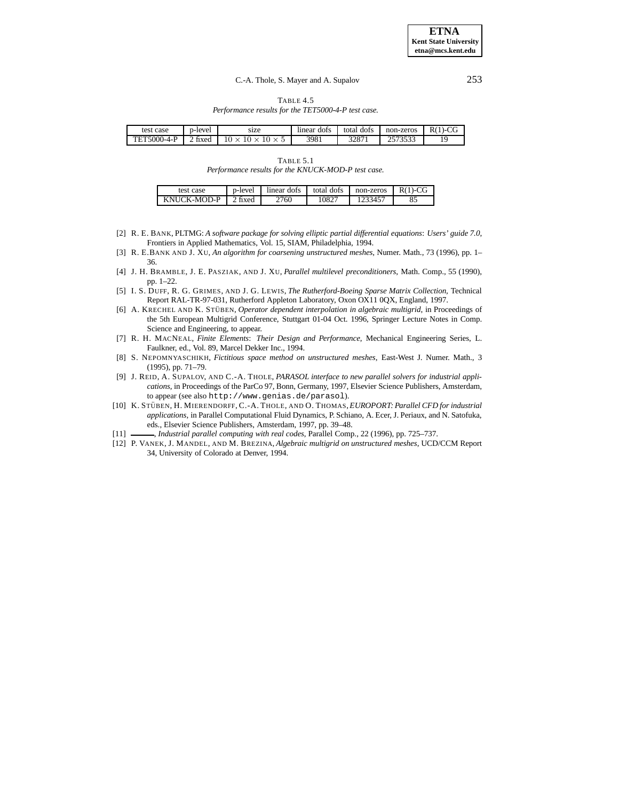**ETNA Kent State University etna@mcs.kent.edu**

### C.-A. Thole, S. Mayer and A. Supalov 253

TABLE 4.5 *Performance results for the TET5000-4-P test case.*

| test<br>case     | p-lever         | size             | $\sim$<br>dots<br>lınear | total<br>dots | non-zeros     | $\sim$<br>ĸ١<br>◡ |
|------------------|-----------------|------------------|--------------------------|---------------|---------------|-------------------|
| `5000-4-P<br>TET | $\sim$<br>fixed | $\left( \right)$ | 3981                     | 2007<br>328 I | 70500<br>JJJJ | i C<br>.,         |

TABLE 5.1

*Performance results for the KNUCK-MOD-P test case.*

| test case   | p-level | dots<br>lınear | total dofs | non-zeros | R( |
|-------------|---------|----------------|------------|-----------|----|
| KNHCK-MOD-P | tixed   | 2760           | $1082^{-}$ | 345       | 85 |

- [2] R. E. BANK, PLTMG: *A software package for solving elliptic partial differential equations*: *Users' guide 7.0*, Frontiers in Applied Mathematics, Vol. 15, SIAM, Philadelphia, 1994.
- [3] R. E.BANK AND J. XU, *An algorithm for coarsening unstructured meshes*, Numer. Math., 73 (1996), pp. 1– 36.
- [4] J. H. BRAMBLE, J. E. PASZIAK, AND J. XU, *Parallel multilevel preconditioners*, Math. Comp., 55 (1990), pp. 1–22.
- [5] I. S. DUFF, R. G. GRIMES, AND J. G. LEWIS, *The Rutherford-Boeing Sparse Matrix Collection*, Technical Report RAL-TR-97-031, Rutherford Appleton Laboratory, Oxon OX11 0QX, England, 1997.
- [6] A. KRECHEL AND K. STÜBEN, *Operator dependent interpolation in algebraic multigrid*, in Proceedings of the 5th European Multigrid Conference, Stuttgart 01-04 Oct. 1996, Springer Lecture Notes in Comp. Science and Engineering, to appear.
- [7] R. H. MACNEAL, *Finite Elements*: *Their Design and Performance*, Mechanical Engineering Series, L. Faulkner, ed., Vol. 89, Marcel Dekker Inc., 1994.
- [8] S. NEPOMNYASCHIKH, *Fictitious space method on unstructured meshes*, East-West J. Numer. Math., 3 (1995), pp. 71–79.
- [9] J. REID, A. SUPALOV, AND C.-A. THOLE, *PARASOL interface to new parallel solvers for industrial applications*, in Proceedings of the ParCo 97, Bonn, Germany, 1997, Elsevier Science Publishers, Amsterdam, to appear (see also http://www.genias.de/parasol).
- [10] K. STÜBEN, H. MIERENDORFF, C.-A. THOLE, AND O. THOMAS, *EUROPORT: Parallel CFD for industrial applications*, in Parallel Computational Fluid Dynamics, P. Schiano, A. Ecer, J. Periaux, and N. Satofuka, eds., Elsevier Science Publishers, Amsterdam, 1997, pp. 39–48.
- [11] , *Industrial parallel computing with real codes*, Parallel Comp., 22 (1996), pp. 725–737.
- [12] P. VANEK, J. MANDEL, AND M. BREZINA, *Algebraic multigrid on unstructured meshes*, UCD/CCM Report 34, University of Colorado at Denver, 1994.